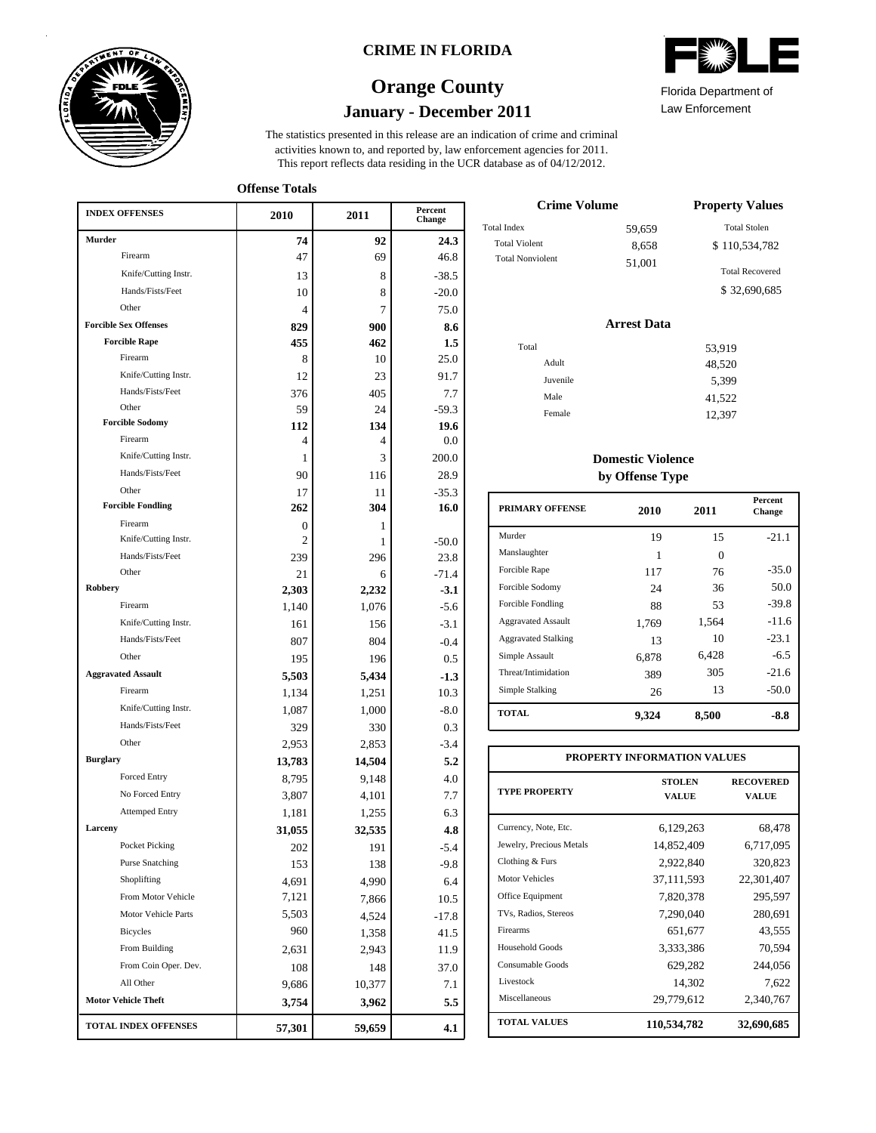

### **CRIME IN FLORIDA**

# **January - December 2011 Orange County**



**Offense Totals**

| <b>INDEX OFFENSES</b>        | 2010   | 2011   | Percent<br>Change |
|------------------------------|--------|--------|-------------------|
| Murder                       | 74     | 92     | 24.3              |
| Firearm                      | 47     | 69     | 46.8              |
| Knife/Cutting Instr.         | 13     | 8      | $-38.5$           |
| Hands/Fists/Feet             | 10     | 8      | $-20.0$           |
| Other                        | 4      | 7      | 75.0              |
| <b>Forcible Sex Offenses</b> | 829    | 900    | 8.6               |
| <b>Forcible Rape</b>         | 455    | 462    | $1.5\,$           |
| Firearm                      | 8      | 10     | 25.0              |
| Knife/Cutting Instr.         | 12     | 23     | 91.7              |
| Hands/Fists/Feet             | 376    | 405    | 7.7               |
| Other                        | 59     | 24     | $-59.3$           |
| <b>Forcible Sodomy</b>       | 112    | 134    | 19.6              |
| Firearm                      | 4      | 4      | 0.0               |
| Knife/Cutting Instr.         | 1      | 3      | 200.0             |
| Hands/Fists/Feet             | 90     | 116    | 28.9              |
| Other                        | 17     | 11     | $-35.3$           |
| <b>Forcible Fondling</b>     | 262    | 304    | 16.0              |
| Firearm                      | 0      | 1      |                   |
| Knife/Cutting Instr.         | 2      | 1      | $-50.0$           |
| Hands/Fists/Feet             | 239    | 296    | 23.8              |
| Other                        | 21     | 6      | $-71.4$           |
| Robbery                      | 2,303  | 2,232  | $-3.1$            |
| Firearm                      | 1,140  | 1,076  | $-5.6$            |
| Knife/Cutting Instr.         | 161    | 156    | $-3.1$            |
| Hands/Fists/Feet             | 807    | 804    | $-0.4$            |
| Other                        | 195    | 196    | 0.5               |
| <b>Aggravated Assault</b>    | 5,503  | 5,434  | $-1.3$            |
| Firearm                      | 1,134  | 1,251  | 10.3              |
| Knife/Cutting Instr.         | 1,087  | 1,000  | $-8.0$            |
| Hands/Fists/Feet             | 329    | 330    | 0.3               |
| Other                        | 2,953  | 2,853  | $-3.4$            |
| <b>Burglary</b>              | 13,783 | 14,504 | 5.2               |
| <b>Forced Entry</b>          | 8,795  | 9,148  | 4.0               |
| No Forced Entry              | 3,807  | 4,101  | 7.7               |
| <b>Attemped Entry</b>        | 1,181  | 1,255  | 6.3               |
| Larceny                      | 31,055 | 32,535 | 4.8               |
| Pocket Picking               | 202    | 191    | $-5.4$            |
| <b>Purse Snatching</b>       | 153    | 138    | -9.8              |
| Shoplifting                  | 4,691  | 4,990  | 6.4               |
| From Motor Vehicle           | 7,121  | 7,866  | 10.5              |
| Motor Vehicle Parts          | 5,503  | 4,524  | $-17.8$           |
| <b>Bicycles</b>              | 960    | 1,358  | 41.5              |
| From Building                | 2,631  | 2,943  | 11.9              |
| From Coin Oper. Dev.         | 108    | 148    | 37.0              |
| All Other                    | 9,686  | 10,377 | 7.1               |
| <b>Motor Vehicle Theft</b>   | 3,754  | 3,962  | 5.5               |
| <b>TOTAL INDEX OFFENSES</b>  | 57,301 | 59,659 | 4.1               |

| Florida Department of |  |
|-----------------------|--|

Law Enforcement

| <b>Crime Volume</b>     | <b>Property Values</b> |                        |
|-------------------------|------------------------|------------------------|
| <b>Total Index</b>      | 59,659                 | <b>Total Stolen</b>    |
| <b>Total Violent</b>    | 8,658                  | \$110,534,782          |
| <b>Total Nonviolent</b> | 51,001                 | <b>Total Recovered</b> |
|                         |                        | \$32,690,685           |

#### **Arrest Data**

| Total    | 53,919 |
|----------|--------|
| Adult    | 48,520 |
| Juvenile | 5,399  |
| Male     | 41,522 |
| Female   | 12,397 |
|          |        |

### **Domestic Violence by Offense Type**

| <b>PRIMARY OFFENSE</b>     | 2010  | 2011     | <b>Percent</b><br>Change |
|----------------------------|-------|----------|--------------------------|
| Murder                     | 19    | 15       | $-21.1$                  |
| Manslaughter               | 1     | $\Omega$ |                          |
| Forcible Rape              | 117   | 76       | $-35.0$                  |
| Forcible Sodomy            | 24    | 36       | 50.0                     |
| Forcible Fondling          | 88    | 53       | $-39.8$                  |
| <b>Aggravated Assault</b>  | 1,769 | 1,564    | $-11.6$                  |
| <b>Aggravated Stalking</b> | 13    | 10       | $-23.1$                  |
| Simple Assault             | 6,878 | 6,428    | $-6.5$                   |
| Threat/Intimidation        | 389   | 305      | $-21.6$                  |
| Simple Stalking            | 26    | 13       | $-50.0$                  |
| <b>TOTAL</b>               | 9,324 | 8,500    | -8.8                     |

| PROPERTY INFORMATION VALUES |                               |                           |  |  |  |  |  |
|-----------------------------|-------------------------------|---------------------------|--|--|--|--|--|
| <b>TYPE PROPERTY</b>        | <b>STOLEN</b><br><b>VALUE</b> | <b>RECOVERED</b><br>VALUE |  |  |  |  |  |
| Currency, Note, Etc.        | 6,129,263                     | 68,478                    |  |  |  |  |  |
| Jewelry, Precious Metals    | 14,852,409                    | 6,717,095                 |  |  |  |  |  |
| Clothing & Furs             | 2,922,840                     | 320,823                   |  |  |  |  |  |
| <b>Motor Vehicles</b>       | 37,111,593                    | 22,301,407                |  |  |  |  |  |
| Office Equipment            | 7,820,378                     | 295,597                   |  |  |  |  |  |
| TVs, Radios, Stereos        | 7,290,040                     | 280,691                   |  |  |  |  |  |
| Firearms                    | 651,677                       | 43,555                    |  |  |  |  |  |
| Household Goods             | 3,333,386                     | 70,594                    |  |  |  |  |  |
| Consumable Goods            | 629,282                       | 244,056                   |  |  |  |  |  |
| Livestock                   | 14,302                        | 7,622                     |  |  |  |  |  |
| Miscellaneous               | 29,779,612                    | 2,340,767                 |  |  |  |  |  |
| <b>TOTAL VALUES</b>         | 110,534,782                   | 32,690,685                |  |  |  |  |  |